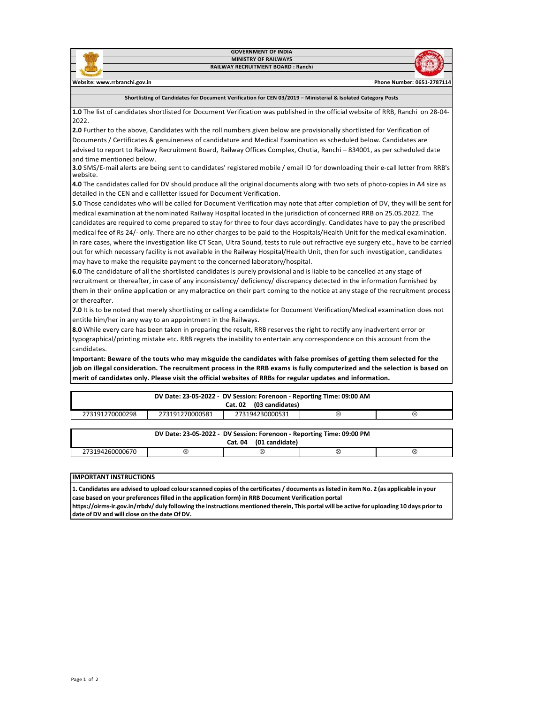

**Shortlisting of Candidates for Document Verification for CEN 03/2019 – Ministerial & Isolated Category Posts**

**1.0** The list of candidates shortlisted for Document Verification was published in the official website of RRB, Ranchi on 28-04- 2022.

**2.0** Further to the above, Candidates with the roll numbers given below are provisionally shortlisted for Verification of Documents / Certificates & genuineness of candidature and Medical Examination as scheduled below. Candidates are advised to report to Railway Recruitment Board, Railway Offices Complex, Chutia, Ranchi – 834001, as per scheduled date and time mentioned below.

**3.0** SMS/E-mail alerts are being sent to candidates' registered mobile / email ID for downloading their e-call letter from RRB's website.

**4.0** The candidates called for DV should produce all the original documents along with two sets of photo-copies in A4 size as detailed in the CEN and e callletter issued for Document Verification.

**5.0** Those candidates who will be called for Document Verification may note that after completion of DV, they will be sent for medical examination at thenominated Railway Hospital located in the jurisdiction of concerned RRB on 25.05.2022. The candidates are required to come prepared to stay for three to four days accordingly. Candidates have to pay the prescribed medical fee of Rs 24/- only. There are no other charges to be paid to the Hospitals/Health Unit for the medical examination. In rare cases, where the investigation like CT Scan, Ultra Sound, tests to rule out refractive eye surgery etc., have to be carried out for which necessary facility is not available in the Railway Hospital/Health Unit, then for such investigation, candidates may have to make the requisite payment to the concerned laboratory/hospital.

**6.0** The candidature of all the shortlisted candidates is purely provisional and is liable to be cancelled at any stage of recruitment or thereafter, in case of any inconsistency/ deficiency/ discrepancy detected in the information furnished by them in their online application or any malpractice on their part coming to the notice at any stage of the recruitment process or thereafter.

**7.0** It is to be noted that merely shortlisting or calling a candidate for Document Verification/Medical examination does not entitle him/her in any way to an appointment in the Railways.

**8.0** While every care has been taken in preparing the result, RRB reserves the right to rectify any inadvertent error or typographical/printing mistake etc. RRB regrets the inability to entertain any correspondence on this account from the candidates.

**Important: Beware of the touts who may misguide the candidates with false promises of getting them selected for the job on illegal consideration. The recruitment process in the RRB exams is fully computerized and the selection is based on merit of candidates only. Please visit the official websites of RRBs for regular updates and information.**

| DV Date: 23-05-2022 - DV Session: Forenoon - Reporting Time: 09:00 AM<br>Cat. 02 (03 candidates) |                 |                 |   |   |  |  |
|--------------------------------------------------------------------------------------------------|-----------------|-----------------|---|---|--|--|
| 273191270000298                                                                                  | 273191270000581 | 273194230000531 | Q | ⊗ |  |  |
|                                                                                                  |                 |                 |   |   |  |  |

| DV Date: 23-05-2022 - DV Session: Forenoon - Reporting Time: 09:00 PM |    |   |   |   |  |  |
|-----------------------------------------------------------------------|----|---|---|---|--|--|
| (01 candidate)<br><b>Cat. 04</b>                                      |    |   |   |   |  |  |
| 273194260000670                                                       | Ø, | ∞ | ∝ | ∞ |  |  |

## **IMPORTANT INSTRUCTIONS**

1. Candidates are advised to upload colour scanned copies of the certificates / documents as listed in item No. 2 (as applicable in your **case based on your preferences filled in the application form) in RRB Document Verification portal**

https://oirms-ir.gov.in/rrbdv/ duly following the instructions mentioned therein, This portal will be active for uploading 10 days prior to **date of DV and will close on the date Of DV.**